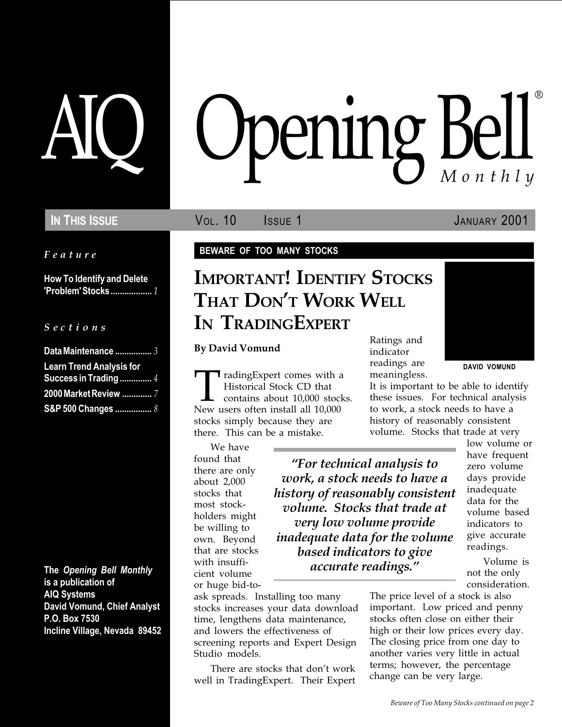Feature

How To Identify and Delete 'Problem' Stocks.................. 1

#### S e c t i o n s

| Data Maintenance  3             |  |
|---------------------------------|--|
| <b>Learn Trend Analysis for</b> |  |
| <b>Success in Trading </b> 4    |  |
| 2000 Market Review  7           |  |
| S&P 500 Changes  8              |  |

The Opening Bell Monthly is a publication of AIQ Systems David Vomund, Chief Analyst P.O. Box 7530 Incline Village, Nevada 89452

# AIQ Opening Bell ®

IN THIS ISSUE **VOL. 10** ISSUE 1 JANUARY 2001

#### BEWARE OF TOO MANY STOCKS

## IMPORTANT! IDENTIFY STOCKS THAT DON'T WORK WELL IN TRADINGEXPERT

By David Vomund

TradingExpert comes with a<br>Historical Stock CD that<br>New users often install all 10,000 Historical Stock CD that contains about 10,000 stocks. stocks simply because they are there. This can be a mistake.

We have found that there are only about 2,000 stocks that most stockholders might be willing to own. Beyond that are stocks with insufficient volume or huge bid-to-

For technical analysis to work, a stock needs to have a history of reasonably consistent volume. Stocks that trade at very low volume provide inadequate data for the volume based indicators to give accurate readings.

ask spreads. Installing too many stocks increases your data download time, lengthens data maintenance, and lowers the effectiveness of screening reports and Expert Design Studio models.

There are stocks that don't work well in TradingExpert. Their Expert Ratings and indicator readings are meaningless.



DAVID VOMUND

It is important to be able to identify these issues. For technical analysis to work, a stock needs to have a history of reasonably consistent volume. Stocks that trade at very

> low volume or have frequent zero volume days provide inadequate data for the volume based indicators to give accurate readings.

Volume is not the only consideration.

The price level of a stock is also important. Low priced and penny stocks often close on either their high or their low prices every day. The closing price from one day to another varies very little in actual terms; however, the percentage change can be very large.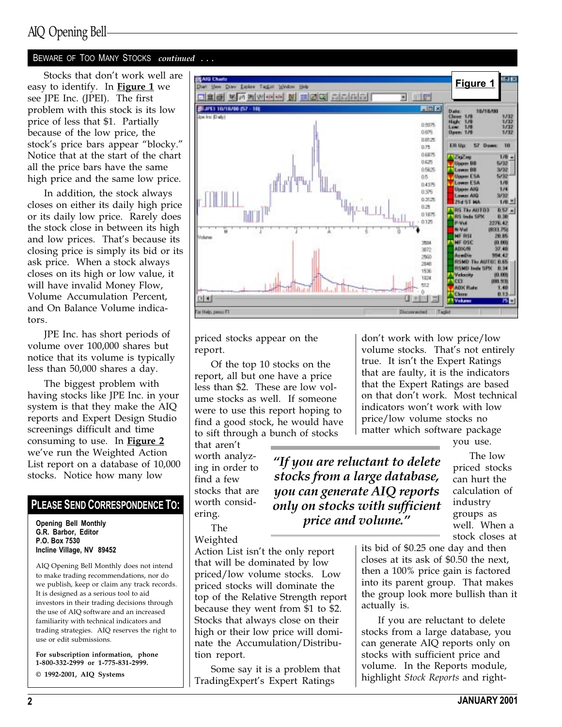## AIQ Opening Bell

#### BEWARE OF TOO MANY STOCKS continued ...

Stocks that don't work well are easy to identify. In **Figure 1** we see JPE Inc. (JPEI). The first problem with this stock is its low price of less that \$1. Partially because of the low price, the stock's price bars appear "blocky." Notice that at the start of the chart all the price bars have the same high price and the same low price.

In addition, the stock always closes on either its daily high price or its daily low price. Rarely does the stock close in between its high and low prices. That's because its closing price is simply its bid or its ask price. When a stock always closes on its high or low value, it will have invalid Money Flow, Volume Accumulation Percent, and On Balance Volume indicators.

JPE Inc. has short periods of volume over 100,000 shares but notice that its volume is typically less than 50,000 shares a day.

The biggest problem with having stocks like JPE Inc. in your system is that they make the AIQ reports and Expert Design Studio screenings difficult and time consuming to use. In Figure 2 we've run the Weighted Action List report on a database of 10,000 stocks. Notice how many low

#### PLEASE SEND CORRESPONDENCE TO:

Opening Bell Monthly G.R. Barbor, Editor P.O. Box 7530 Incline Village, NV 89452

AIQ Opening Bell Monthly does not intend to make trading recommendations, nor do we publish, keep or claim any track records. It is designed as a serious tool to aid investors in their trading decisions through the use of AIQ software and an increased familiarity with technical indicators and trading strategies. AIQ reserves the right to use or edit submissions.

For subscription information, phone 1-800-332-2999 or 1-775-831-2999. © 1992-2001, AIQ Systems



priced stocks appear on the report.

Of the top 10 stocks on the report, all but one have a price less than \$2. These are low volume stocks as well. If someone were to use this report hoping to find a good stock, he would have to sift through a bunch of stocks

that aren't worth analyzing in order to find a few stocks that are worth considering.

"If you are reluctant to delete stocks from a large database, you can generate AIQ reports only on stocks with sufficient price and volume."

don't work with low price/low volume stocks. That's not entirely true. It isn't the Expert Ratings that are faulty, it is the indicators that the Expert Ratings are based on that don't work. Most technical indicators won't work with low price/low volume stocks no matter which software package

you use.

The low priced stocks can hurt the calculation of industry groups as well. When a stock closes at

The Weighted

Action List isn't the only report that will be dominated by low priced/low volume stocks. Low priced stocks will dominate the top of the Relative Strength report because they went from \$1 to \$2. Stocks that always close on their high or their low price will dominate the Accumulation/Distribution report.

Some say it is a problem that TradingExpert's Expert Ratings

its bid of \$0.25 one day and then closes at its ask of \$0.50 the next, then a 100% price gain is factored into its parent group. That makes the group look more bullish than it actually is.

If you are reluctant to delete stocks from a large database, you can generate AIQ reports only on stocks with sufficient price and volume. In the Reports module, highlight Stock Reports and right-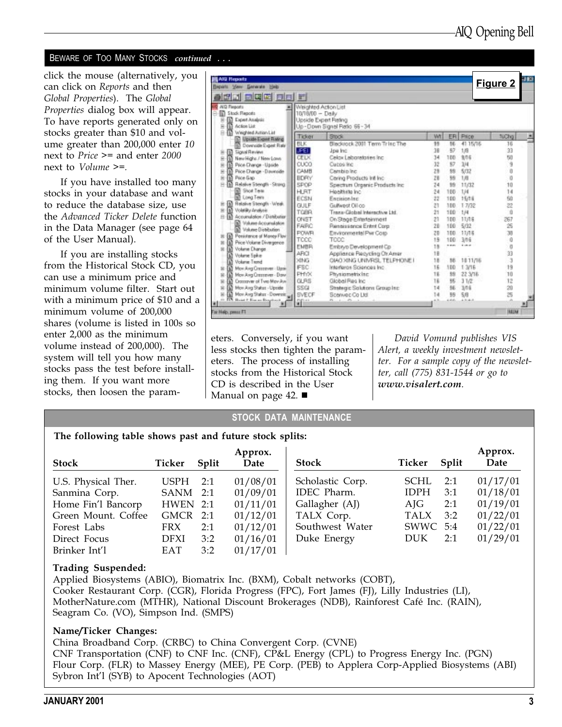#### BEWARE OF TOO MANY STOCKS continued ...

click the mouse (alternatively, you can click on Reports and then Global Properties). The Global Properties dialog box will appear. To have reports generated only on stocks greater than \$10 and volume greater than 200,000 enter 10 next to Price >= and enter 2000 next to Volume >=.

If you have installed too many stocks in your database and want to reduce the database size, use the Advanced Ticker Delete function in the Data Manager (see page 64 of the User Manual).

If you are installing stocks from the Historical Stock CD, you can use a minimum price and minimum volume filter. Start out with a minimum price of \$10 and a minimum volume of 200,000 shares (volume is listed in 100s so enter 2,000 as the minimum volume instead of 200,000). The system will tell you how many stocks pass the test before installing them. If you want more stocks, then loosen the param-

| <b>AIG Reports</b>                            |                      |                                  |    |     |          |                 |  |
|-----------------------------------------------|----------------------|----------------------------------|----|-----|----------|-----------------|--|
| Beparts View Generate Help                    |                      |                                  |    |     |          | <u>Figure 2</u> |  |
| <u>aa eee oo r</u>                            |                      |                                  |    |     |          |                 |  |
| <b>NO Fiegosts</b>                            | Weighted Action List |                                  |    |     |          |                 |  |
| <b>Stock Financial</b>                        | 10/19/00 - Daily     |                                  |    |     |          |                 |  |
| <b>D</b> Expert Analysis                      |                      | Upside Expert Rating             |    |     |          |                 |  |
| Action List<br>In Weighted Action List        |                      | Up - Down Signel Ratio 66 - 34   |    |     |          |                 |  |
| <b>C Upside Expirit Finling</b>               | Ticker               | Stock                            | Wt |     | ER Price | NChg            |  |
| Downside Expert Rate                          | <b>BLK</b>           | Blacktock 2001 Term Tring The    | 99 | 16  | 41.15/16 | 16              |  |
| <b>Signal Review</b>                          | <b>JPET</b>          | Joe Inc.                         | 38 | 97  | 1/8      | 33              |  |
| New Highs / New Laws                          | CEDO                 | Celox Laboratories Inc.          | 34 | 100 | 3/16     | 50              |  |
| Price Change - Lipside                        | CUCO                 | Cucos Inc.                       | 32 | 97  | 3/4      | 9               |  |
| Pice Change - Dounside                        | CAMB                 | Cambio Inc.                      | 28 | 55  | 5/32     |                 |  |
| Price Gap                                     | <b>BDRY</b>          | Caring Products Infi Inc.        | ZB | 39  | 1/8      | 0               |  |
| Ist Relative Strength - Strang                | SPOP                 | Spectrum Organic Products Inc.   | 24 | 55  | 11/32    | 10              |  |
| <b>Shot Text</b>                              | <b>HRT</b>           | Honitista inc.                   | 24 | 100 | 1./4     | 14              |  |
| <b>Cong Team</b>                              | ECSN                 | Encision Inc.                    | 22 | 100 | 15/18    | 60              |  |
| Relative Stength - Weak.                      | <b>GULF</b>          | Gulfwest Oil co                  | 21 | 100 | 1.7/32   | 22              |  |
| Volatility Analysis<br>m                      | <b>TOBR</b>          | Trans-Global Interactive Ltd.    | 21 | 100 | 1.14     | ŭ               |  |
| [M] Accumulation / Distribution               | ONST                 | On Stege Enterteinment           | 21 | 100 | 11/18    | 267             |  |
| Viskane Accounsiation                         | <b>FAIRC</b>         | <b>Flansissonce Entryt Corp.</b> | 28 | 100 | 5/32     | 25              |  |
| Volume Dietectures                            | <b>POWR</b>          | Environmental Pwr Cosp           | 20 | 100 | 11/15    | 38              |  |
| Penistence of Money Flow<br>m                 | TCCC                 | TOOC                             | 15 | 100 | 3/16     | Ű               |  |
| Price Volume Divergence<br>Ш<br>Volume Change | EMBR                 | Embryo Development Cp            | 18 |     |          | $\Box$          |  |
| m<br>Volume Spike<br>в                        | ARCI                 | Applience Recycling Or Amer      | 18 |     |          | 33              |  |
| Volume Trend                                  | <b>DIADO</b>         | CIAO XING UNIVES), TELPHONE I    | 18 | 16  | 1811/16  | Ĵ               |  |
| Mon Ang Cremever - Ugai                       | FBC.                 | Interferon Sciences Inc.         | 16 | 180 | 1.3/16   | 19              |  |
| Mov Avg Cremever - Daw                        | <b>PHYX</b>          | Physiometricing                  | 18 | 35  | 22 3/16  | 10              |  |
| Crossover of Two Mov Ave                      | <b>GLBS</b>          | Global Res Inc.                  | 16 | 35  | 31/2     | 12              |  |
| Mon Ang Status - Upside                       | SSG                  | Strategic Solutions Group Inc.   | 14 | 56  | 3/16     | źù              |  |
| Mor Ang Status - Downeis                      | SVECF.               | Scenvec Co Ltd.                  | 14 | 98  | 5.6      | 25              |  |
| Board P. France, Respitored                   | 新鮮                   | $-1 - 1 - 1 - 1$                 |    |     |          |                 |  |
|                                               |                      |                                  |    |     |          |                 |  |
| Fat Help, penus F1                            |                      |                                  |    |     |          | <b>IRALIN</b>   |  |

eters. Conversely, if you want less stocks then tighten the parameters. The process of installing stocks from the Historical Stock CD is described in the User Manual on page 42.  $\blacksquare$ 

David Vomund publishes VIS Alert, a weekly investment newsletter. For a sample copy of the newsletter, call (775) 831-1544 or go to www.visalert.com.

#### STOCK DATA MAINTENANCE

The following table shows past and future stock splits:

| <b>Stock</b>        | Ticker      | Split | Approx.<br>Date | <b>Stock</b>     | Ticker      | Split | Approx.<br>Date |
|---------------------|-------------|-------|-----------------|------------------|-------------|-------|-----------------|
| U.S. Physical Ther. | USPH        | 2:1   | 01/08/01        | Scholastic Corp. | SCHL        | 2:1   | 01/17/01        |
| Sanmina Corp.       | SANM 2:1    |       | 01/09/01        | IDEC Pharm.      | <b>IDPH</b> | 3:1   | 01/18/01        |
| Home Fin'l Bancorp  | $HWEN$ 2:1  |       | 01/11/01        | Gallagher (AJ)   | AJG         | 2:1   | 01/19/01        |
| Green Mount. Coffee | GMCR 2:1    |       | 01/12/01        | TALX Corp.       | <b>TALX</b> | 3:2   | 01/22/01        |
| Forest Labs         | <b>FRX</b>  | 2:1   | 01/12/01        | Southwest Water  | SWWC 5:4    |       | 01/22/01        |
| Direct Focus        | <b>DFXI</b> | 3:2   | 01/16/01        | Duke Energy      | <b>DUK</b>  | 2:1   | 01/29/01        |
| Brinker Int'l       | EAT         | 3:2   | 01/17/01        |                  |             |       |                 |

#### Trading Suspended:

Applied Biosystems (ABIO), Biomatrix Inc. (BXM), Cobalt networks (COBT), Cooker Restaurant Corp. (CGR), Florida Progress (FPC), Fort James (FJ), Lilly Industries (LI), MotherNature.com (MTHR), National Discount Brokerages (NDB), Rainforest Café Inc. (RAIN), Seagram Co. (VO), Simpson Ind. (SMPS)

#### Name/Ticker Changes:

China Broadband Corp. (CRBC) to China Convergent Corp. (CVNE) CNF Transportation (CNF) to CNF Inc. (CNF), CP&L Energy (CPL) to Progress Energy Inc. (PGN) Flour Corp. (FLR) to Massey Energy (MEE), PE Corp. (PEB) to Applera Corp-Applied Biosystems (ABI) Sybron Int'l (SYB) to Apocent Technologies (AOT)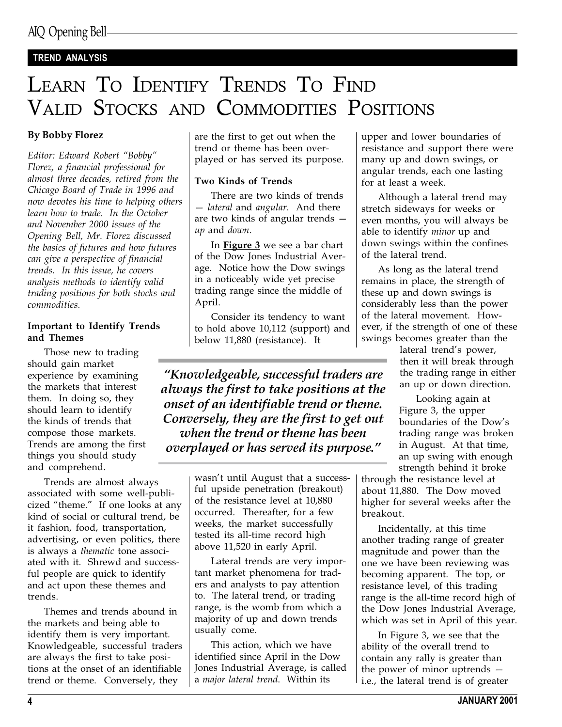## TREND ANALYSIS

# LEARN TO IDENTIFY TRENDS TO FIND VALID STOCKS AND COMMODITIES POSITIONS

### By Bobby Florez

Editor: Edward Robert "Bobby" Florez, a financial professional for almost three decades, retired from the Chicago Board of Trade in 1996 and now devotes his time to helping others learn how to trade. In the October and November 2000 issues of the Opening Bell, Mr. Florez discussed the basics of futures and how futures can give a perspective of financial trends. In this issue, he covers analysis methods to identify valid trading positions for both stocks and commodities.

#### Important to Identify Trends and Themes

Those new to trading should gain market experience by examining the markets that interest them. In doing so, they should learn to identify the kinds of trends that compose those markets. Trends are among the first things you should study and comprehend.

Trends are almost always associated with some well-publicized "theme." If one looks at any kind of social or cultural trend, be it fashion, food, transportation, advertising, or even politics, there is always a thematic tone associated with it. Shrewd and successful people are quick to identify and act upon these themes and trends.

Themes and trends abound in the markets and being able to identify them is very important. Knowledgeable, successful traders are always the first to take positions at the onset of an identifiable trend or theme. Conversely, they

are the first to get out when the trend or theme has been overplayed or has served its purpose.

#### Two Kinds of Trends

There are two kinds of trends - lateral and angular. And there are two kinds of angular trends up and down.

In **Figure 3** we see a bar chart of the Dow Jones Industrial Average. Notice how the Dow swings in a noticeably wide yet precise trading range since the middle of April.

Consider its tendency to want to hold above 10,112 (support) and below 11,880 (resistance). It

Knowledgeable, successful traders are always the first to take positions at the onset of an identifiable trend or theme. Conversely, they are the first to get out when the trend or theme has been overplayed or has served its purpose.

> wasn't until August that a successful upside penetration (breakout) of the resistance level at 10,880 occurred. Thereafter, for a few weeks, the market successfully tested its all-time record high above 11,520 in early April.

Lateral trends are very important market phenomena for traders and analysts to pay attention to. The lateral trend, or trading range, is the womb from which a majority of up and down trends usually come.

This action, which we have identified since April in the Dow Jones Industrial Average, is called a major lateral trend. Within its

upper and lower boundaries of resistance and support there were many up and down swings, or angular trends, each one lasting for at least a week.

Although a lateral trend may stretch sideways for weeks or even months, you will always be able to identify minor up and down swings within the confines of the lateral trend.

As long as the lateral trend remains in place, the strength of these up and down swings is considerably less than the power of the lateral movement. However, if the strength of one of these swings becomes greater than the

lateral trend's power, then it will break through the trading range in either an up or down direction.

Looking again at Figure 3, the upper boundaries of the Dow's trading range was broken in August. At that time, an up swing with enough strength behind it broke

through the resistance level at about 11,880. The Dow moved higher for several weeks after the breakout.

Incidentally, at this time another trading range of greater magnitude and power than the one we have been reviewing was becoming apparent. The top, or resistance level, of this trading range is the all-time record high of the Dow Jones Industrial Average, which was set in April of this year.

In Figure 3, we see that the ability of the overall trend to contain any rally is greater than the power of minor uptrends i.e., the lateral trend is of greater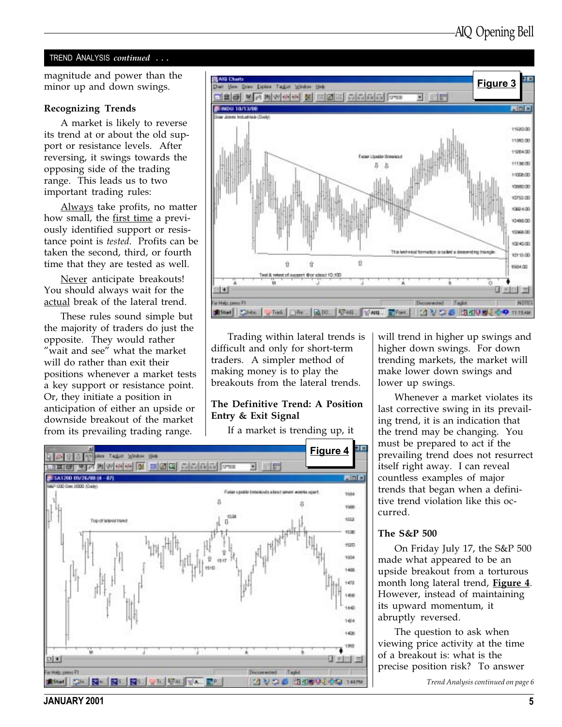#### TREND ANALYSIS continued ...

minor up and down swings.

#### Recognizing Trends

A market is likely to reverse its trend at or about the old support or resistance levels. After reversing, it swings towards the opposing side of the trading range. This leads us to two important trading rules:

Always take profits, no matter how small, the first time a previously identified support or resistance point is tested. Profits can be taken the second, third, or fourth time that they are tested as well.

Never anticipate breakouts! You should always wait for the actual break of the lateral trend.

These rules sound simple but the majority of traders do just the opposite. They would rather "wait and see" what the market will do rather than exit their positions whenever a market tests a key support or resistance point. Or, they initiate a position in anticipation of either an upside or downside breakout of the market from its prevailing trading range.



Trading within lateral trends is difficult and only for short-term traders. A simpler method of making money is to play the breakouts from the lateral trends.

#### The Definitive Trend: A Position Entry & Exit Signal

If a market is trending up, it



will trend in higher up swings and higher down swings. For down trending markets, the market will make lower down swings and lower up swings.

Whenever a market violates its last corrective swing in its prevailing trend, it is an indication that the trend may be changing. You must be prepared to act if the prevailing trend does not resurrect itself right away. I can reveal countless examples of major trends that began when a definitive trend violation like this occurred.

#### The S&P 500

On Friday July 17, the S&P 500 made what appeared to be an upside breakout from a torturous month long lateral trend, Figure 4. However, instead of maintaining its upward momentum, it abruptly reversed.

The question to ask when viewing price activity at the time of a breakout is: what is the precise position risk? To answer

Trend Analysis continued on page 6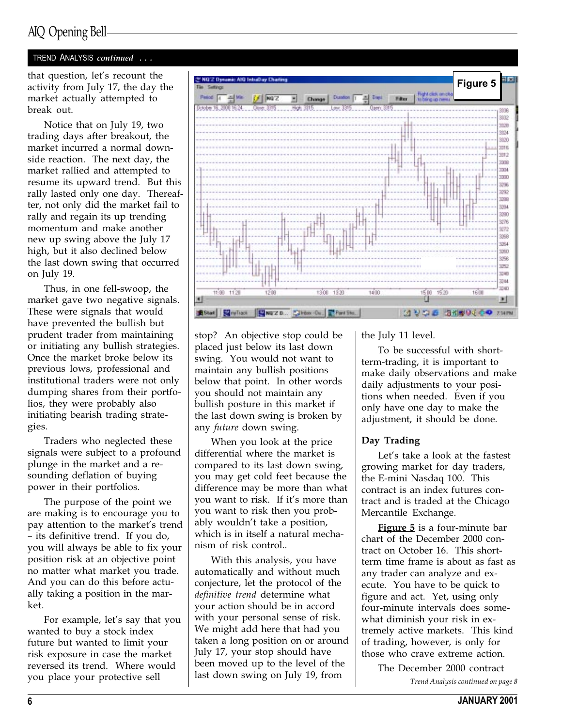## AIQ Opening Bell

### TREND ANALYSIS continued . . .

that question, let's recount the activity from July 17, the day the market actually attempted to break out.

Notice that on July 19, two trading days after breakout, the market incurred a normal downside reaction. The next day, the market rallied and attempted to resume its upward trend. But this rally lasted only one day. Thereafter, not only did the market fail to rally and regain its up trending momentum and make another new up swing above the July 17 high, but it also declined below the last down swing that occurred on July 19.

Thus, in one fell-swoop, the market gave two negative signals. These were signals that would have prevented the bullish but prudent trader from maintaining or initiating any bullish strategies. Once the market broke below its previous lows, professional and institutional traders were not only dumping shares from their portfolios, they were probably also initiating bearish trading strategies.

Traders who neglected these signals were subject to a profound plunge in the market and a resounding deflation of buying power in their portfolios.

The purpose of the point we are making is to encourage you to pay attention to the market's trend - its definitive trend. If you do, you will always be able to fix your position risk at an objective point no matter what market you trade. And you can do this before actually taking a position in the market.

For example, let's say that you wanted to buy a stock index future but wanted to limit your risk exposure in case the market reversed its trend. Where would you place your protective sell



stop? An objective stop could be placed just below its last down swing. You would not want to maintain any bullish positions below that point. In other words you should not maintain any bullish posture in this market if the last down swing is broken by any future down swing.

When you look at the price differential where the market is compared to its last down swing, you may get cold feet because the difference may be more than what you want to risk. If it's more than you want to risk then you probably wouldn't take a position, which is in itself a natural mechanism of risk control..

With this analysis, you have automatically and without much conjecture, let the protocol of the definitive trend determine what your action should be in accord with your personal sense of risk. We might add here that had you taken a long position on or around July 17, your stop should have been moved up to the level of the last down swing on July 19, from

the July 11 level.

To be successful with shortterm-trading, it is important to make daily observations and make daily adjustments to your positions when needed. Even if you only have one day to make the adjustment, it should be done.

#### Day Trading

Let's take a look at the fastest growing market for day traders, the E-mini Nasdaq 100. This contract is an index futures contract and is traded at the Chicago Mercantile Exchange.

Figure 5 is a four-minute bar chart of the December 2000 contract on October 16. This shortterm time frame is about as fast as any trader can analyze and execute. You have to be quick to figure and act. Yet, using only four-minute intervals does somewhat diminish your risk in extremely active markets. This kind of trading, however, is only for those who crave extreme action.

> The December 2000 contract Trend Analysis continued on page 8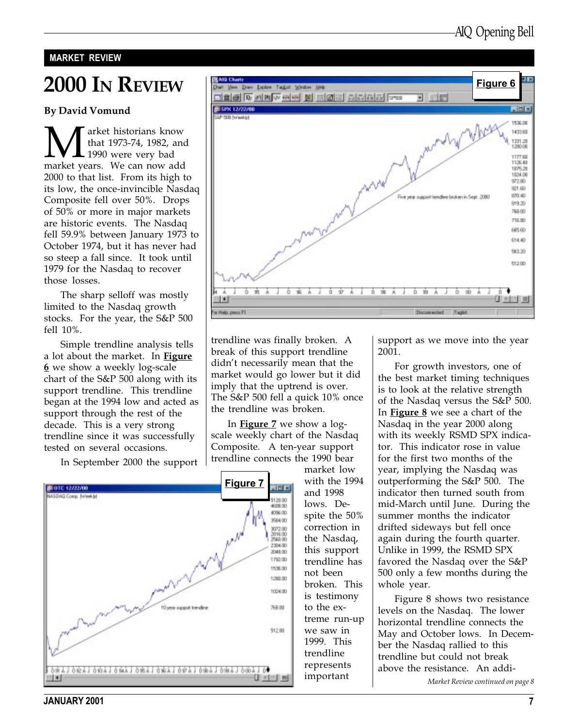#### MARKET REVIEW

# 2000 IN REVIEW

#### By David Vomund

**M** arket historians know<br>that 1973-74, 1982, and<br>market years. We can now add that 1973-74, 1982, and 1990 were very bad 2000 to that list. From its high to its low, the once-invincible Nasdaq Composite fell over 50%. Drops of 50% or more in major markets are historic events. The Nasdaq fell 59.9% between January 1973 to October 1974, but it has never had so steep a fall since. It took until 1979 for the Nasdaq to recover those losses.

The sharp selloff was mostly limited to the Nasdaq growth stocks. For the year, the S&P 500 fell 10%.

Simple trendline analysis tells a lot about the market. In Figure 6 we show a weekly log-scale chart of the S&P 500 along with its support trendline. This trendline began at the 1994 low and acted as support through the rest of the decade. This is a very strong trendline since it was successfully tested on several occasions.



Figure 6Ven Davy Lipkes Tagjist Window Heb **one to make to be a wind of the or** letter · 田野 SPX 12/22/00 **DI** 1536.00 1433.68 1331.28<br>1280.00 1177.68 1126.40 1876.28 1024.00 972.00 921.60 670.40 Five year napot tendine broken in Sept. 2080 819.20 769.00 715.00 685.60 614.40 583.20 512.00 **MAJOMAJOWAJOMAJOMAJ** ö  $0 \oplus \Lambda$ ù 可测 非因用非属 For Help, penus FT Ducowacied Taglet

trendline was finally broken. A break of this support trendline didn't necessarily mean that the market would go lower but it did imply that the uptrend is over. The S&P 500 fell a quick 10% once the trendline was broken.

In **Figure 7** we show a logscale weekly chart of the Nasdaq Composite. A ten-year support trendline connects the 1990 bear

market low with the 1994 and 1998 lows. Despite the 50% correction in the Nasdaq, this support trendline has not been broken. This is testimony to the extreme run-up we saw in 1999. This trendline represents important

support as we move into the year 2001.

For growth investors, one of the best market timing techniques is to look at the relative strength of the Nasdaq versus the S&P 500. In **Figure 8** we see a chart of the Nasdaq in the year 2000 along with its weekly RSMD SPX indicator. This indicator rose in value for the first two months of the year, implying the Nasdaq was outperforming the S&P 500. The indicator then turned south from mid-March until June. During the summer months the indicator drifted sideways but fell once again during the fourth quarter. Unlike in 1999, the RSMD SPX favored the Nasdaq over the S&P 500 only a few months during the whole year.

Figure 8 shows two resistance levels on the Nasdaq. The lower horizontal trendline connects the May and October lows. In December the Nasdaq rallied to this trendline but could not break above the resistance. An addi-

Market Review continued on page 8